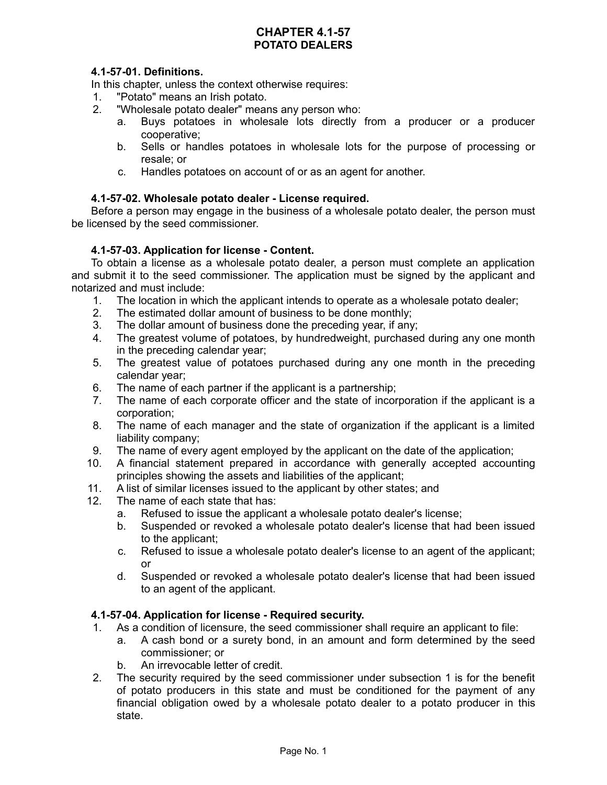## **CHAPTER 4.1-57 POTATO DEALERS**

# **4.1-57-01. Definitions.**

In this chapter, unless the context otherwise requires:

- 1. "Potato" means an Irish potato.
- 2. "Wholesale potato dealer" means any person who:
	- a. Buys potatoes in wholesale lots directly from a producer or a producer cooperative;
	- b. Sells or handles potatoes in wholesale lots for the purpose of processing or resale; or
	- c. Handles potatoes on account of or as an agent for another.

## **4.1-57-02. Wholesale potato dealer - License required.**

Before a person may engage in the business of a wholesale potato dealer, the person must be licensed by the seed commissioner.

### **4.1-57-03. Application for license - Content.**

To obtain a license as a wholesale potato dealer, a person must complete an application and submit it to the seed commissioner. The application must be signed by the applicant and notarized and must include:

- 1. The location in which the applicant intends to operate as a wholesale potato dealer;
- 2. The estimated dollar amount of business to be done monthly;
- 3. The dollar amount of business done the preceding year, if any;
- 4. The greatest volume of potatoes, by hundredweight, purchased during any one month in the preceding calendar year;
- 5. The greatest value of potatoes purchased during any one month in the preceding calendar year;
- 6. The name of each partner if the applicant is a partnership;
- 7. The name of each corporate officer and the state of incorporation if the applicant is a corporation;
- 8. The name of each manager and the state of organization if the applicant is a limited liability company;
- 9. The name of every agent employed by the applicant on the date of the application;
- 10. A financial statement prepared in accordance with generally accepted accounting principles showing the assets and liabilities of the applicant;
- 11. A list of similar licenses issued to the applicant by other states; and
- 12. The name of each state that has:
	- a. Refused to issue the applicant a wholesale potato dealer's license;
	- b. Suspended or revoked a wholesale potato dealer's license that had been issued to the applicant;
	- c. Refused to issue a wholesale potato dealer's license to an agent of the applicant; or
	- d. Suspended or revoked a wholesale potato dealer's license that had been issued to an agent of the applicant.

#### **4.1-57-04. Application for license - Required security.**

- 1. As a condition of licensure, the seed commissioner shall require an applicant to file:
	- a. A cash bond or a surety bond, in an amount and form determined by the seed commissioner; or
		- b. An irrevocable letter of credit.
- 2. The security required by the seed commissioner under subsection 1 is for the benefit of potato producers in this state and must be conditioned for the payment of any financial obligation owed by a wholesale potato dealer to a potato producer in this state.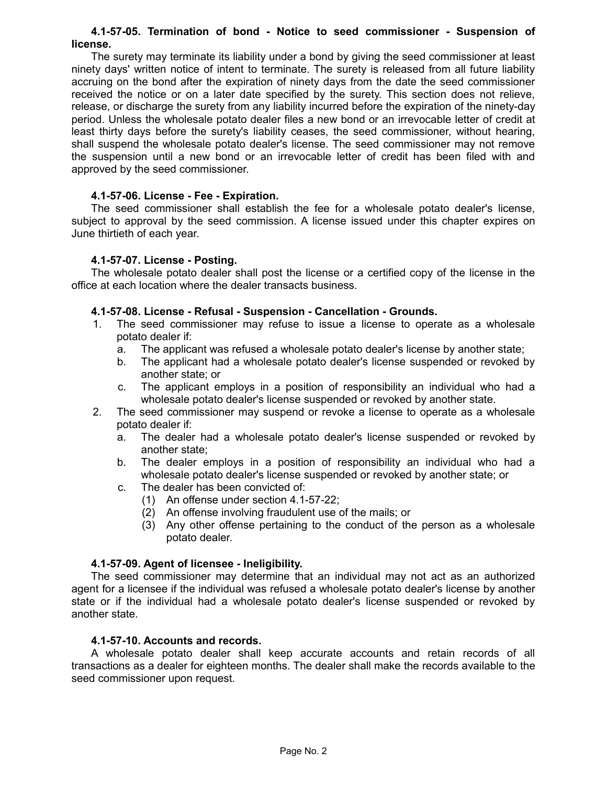#### **4.1-57-05. Termination of bond - Notice to seed commissioner - Suspension of license.**

The surety may terminate its liability under a bond by giving the seed commissioner at least ninety days' written notice of intent to terminate. The surety is released from all future liability accruing on the bond after the expiration of ninety days from the date the seed commissioner received the notice or on a later date specified by the surety. This section does not relieve, release, or discharge the surety from any liability incurred before the expiration of the ninety-day period. Unless the wholesale potato dealer files a new bond or an irrevocable letter of credit at least thirty days before the surety's liability ceases, the seed commissioner, without hearing, shall suspend the wholesale potato dealer's license. The seed commissioner may not remove the suspension until a new bond or an irrevocable letter of credit has been filed with and approved by the seed commissioner.

### **4.1-57-06. License - Fee - Expiration.**

The seed commissioner shall establish the fee for a wholesale potato dealer's license, subject to approval by the seed commission. A license issued under this chapter expires on June thirtieth of each year.

### **4.1-57-07. License - Posting.**

The wholesale potato dealer shall post the license or a certified copy of the license in the office at each location where the dealer transacts business.

## **4.1-57-08. License - Refusal - Suspension - Cancellation - Grounds.**

- 1. The seed commissioner may refuse to issue a license to operate as a wholesale potato dealer if:
	- a. The applicant was refused a wholesale potato dealer's license by another state;
	- b. The applicant had a wholesale potato dealer's license suspended or revoked by another state; or
	- c. The applicant employs in a position of responsibility an individual who had a wholesale potato dealer's license suspended or revoked by another state.
- 2. The seed commissioner may suspend or revoke a license to operate as a wholesale potato dealer if:
	- a. The dealer had a wholesale potato dealer's license suspended or revoked by another state;
	- b. The dealer employs in a position of responsibility an individual who had a wholesale potato dealer's license suspended or revoked by another state; or
	- c. The dealer has been convicted of:
		- (1) An offense under section 4.1-57-22;
		- (2) An offense involving fraudulent use of the mails; or
		- (3) Any other offense pertaining to the conduct of the person as a wholesale potato dealer.

## **4.1-57-09. Agent of licensee - Ineligibility.**

The seed commissioner may determine that an individual may not act as an authorized agent for a licensee if the individual was refused a wholesale potato dealer's license by another state or if the individual had a wholesale potato dealer's license suspended or revoked by another state.

#### **4.1-57-10. Accounts and records.**

A wholesale potato dealer shall keep accurate accounts and retain records of all transactions as a dealer for eighteen months. The dealer shall make the records available to the seed commissioner upon request.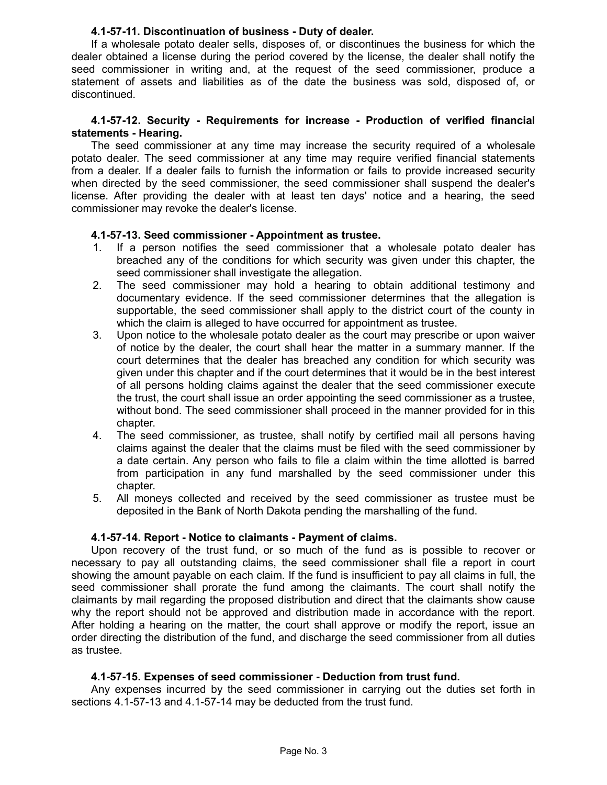### **4.1-57-11. Discontinuation of business - Duty of dealer.**

If a wholesale potato dealer sells, disposes of, or discontinues the business for which the dealer obtained a license during the period covered by the license, the dealer shall notify the seed commissioner in writing and, at the request of the seed commissioner, produce a statement of assets and liabilities as of the date the business was sold, disposed of, or discontinued.

### **4.1-57-12. Security - Requirements for increase - Production of verified financial statements - Hearing.**

The seed commissioner at any time may increase the security required of a wholesale potato dealer. The seed commissioner at any time may require verified financial statements from a dealer. If a dealer fails to furnish the information or fails to provide increased security when directed by the seed commissioner, the seed commissioner shall suspend the dealer's license. After providing the dealer with at least ten days' notice and a hearing, the seed commissioner may revoke the dealer's license.

### **4.1-57-13. Seed commissioner - Appointment as trustee.**

- 1. If a person notifies the seed commissioner that a wholesale potato dealer has breached any of the conditions for which security was given under this chapter, the seed commissioner shall investigate the allegation.
- 2. The seed commissioner may hold a hearing to obtain additional testimony and documentary evidence. If the seed commissioner determines that the allegation is supportable, the seed commissioner shall apply to the district court of the county in which the claim is alleged to have occurred for appointment as trustee.
- 3. Upon notice to the wholesale potato dealer as the court may prescribe or upon waiver of notice by the dealer, the court shall hear the matter in a summary manner. If the court determines that the dealer has breached any condition for which security was given under this chapter and if the court determines that it would be in the best interest of all persons holding claims against the dealer that the seed commissioner execute the trust, the court shall issue an order appointing the seed commissioner as a trustee, without bond. The seed commissioner shall proceed in the manner provided for in this chapter.
- 4. The seed commissioner, as trustee, shall notify by certified mail all persons having claims against the dealer that the claims must be filed with the seed commissioner by a date certain. Any person who fails to file a claim within the time allotted is barred from participation in any fund marshalled by the seed commissioner under this chapter.
- 5. All moneys collected and received by the seed commissioner as trustee must be deposited in the Bank of North Dakota pending the marshalling of the fund.

## **4.1-57-14. Report - Notice to claimants - Payment of claims.**

Upon recovery of the trust fund, or so much of the fund as is possible to recover or necessary to pay all outstanding claims, the seed commissioner shall file a report in court showing the amount payable on each claim. If the fund is insufficient to pay all claims in full, the seed commissioner shall prorate the fund among the claimants. The court shall notify the claimants by mail regarding the proposed distribution and direct that the claimants show cause why the report should not be approved and distribution made in accordance with the report. After holding a hearing on the matter, the court shall approve or modify the report, issue an order directing the distribution of the fund, and discharge the seed commissioner from all duties as trustee.

## **4.1-57-15. Expenses of seed commissioner - Deduction from trust fund.**

Any expenses incurred by the seed commissioner in carrying out the duties set forth in sections 4.1-57-13 and 4.1-57-14 may be deducted from the trust fund.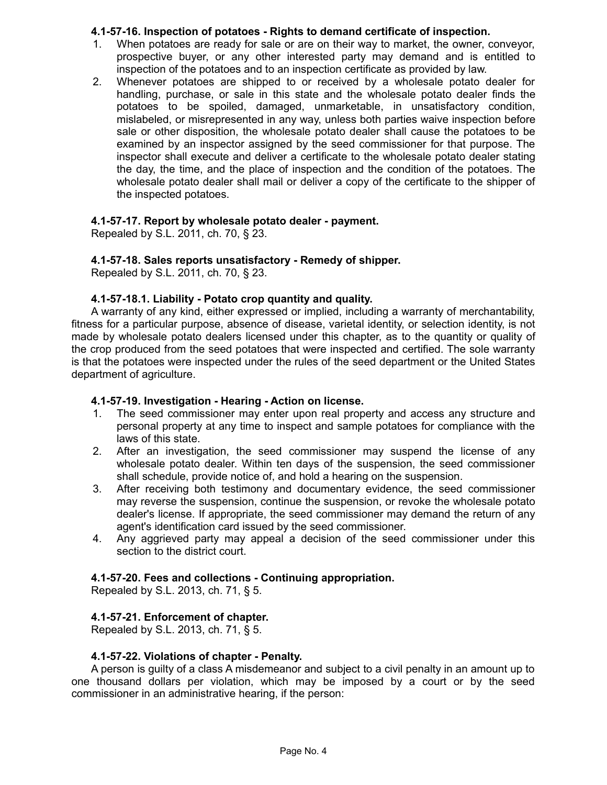## **4.1-57-16. Inspection of potatoes - Rights to demand certificate of inspection.**

- 1. When potatoes are ready for sale or are on their way to market, the owner, conveyor, prospective buyer, or any other interested party may demand and is entitled to inspection of the potatoes and to an inspection certificate as provided by law.
- 2. Whenever potatoes are shipped to or received by a wholesale potato dealer for handling, purchase, or sale in this state and the wholesale potato dealer finds the potatoes to be spoiled, damaged, unmarketable, in unsatisfactory condition, mislabeled, or misrepresented in any way, unless both parties waive inspection before sale or other disposition, the wholesale potato dealer shall cause the potatoes to be examined by an inspector assigned by the seed commissioner for that purpose. The inspector shall execute and deliver a certificate to the wholesale potato dealer stating the day, the time, and the place of inspection and the condition of the potatoes. The wholesale potato dealer shall mail or deliver a copy of the certificate to the shipper of the inspected potatoes.

# **4.1-57-17. Report by wholesale potato dealer - payment.**

Repealed by S.L. 2011, ch. 70, § 23.

# **4.1-57-18. Sales reports unsatisfactory - Remedy of shipper.**

Repealed by S.L. 2011, ch. 70, § 23.

## **4.1-57-18.1. Liability - Potato crop quantity and quality.**

A warranty of any kind, either expressed or implied, including a warranty of merchantability, fitness for a particular purpose, absence of disease, varietal identity, or selection identity, is not made by wholesale potato dealers licensed under this chapter, as to the quantity or quality of the crop produced from the seed potatoes that were inspected and certified. The sole warranty is that the potatoes were inspected under the rules of the seed department or the United States department of agriculture.

## **4.1-57-19. Investigation - Hearing - Action on license.**

- 1. The seed commissioner may enter upon real property and access any structure and personal property at any time to inspect and sample potatoes for compliance with the laws of this state.
- 2. After an investigation, the seed commissioner may suspend the license of any wholesale potato dealer. Within ten days of the suspension, the seed commissioner shall schedule, provide notice of, and hold a hearing on the suspension.
- 3. After receiving both testimony and documentary evidence, the seed commissioner may reverse the suspension, continue the suspension, or revoke the wholesale potato dealer's license. If appropriate, the seed commissioner may demand the return of any agent's identification card issued by the seed commissioner.
- 4. Any aggrieved party may appeal a decision of the seed commissioner under this section to the district court.

# **4.1-57-20. Fees and collections - Continuing appropriation.**

Repealed by S.L. 2013, ch. 71, § 5.

# **4.1-57-21. Enforcement of chapter.**

Repealed by S.L. 2013, ch. 71, § 5.

## **4.1-57-22. Violations of chapter - Penalty.**

A person is guilty of a class A misdemeanor and subject to a civil penalty in an amount up to one thousand dollars per violation, which may be imposed by a court or by the seed commissioner in an administrative hearing, if the person: